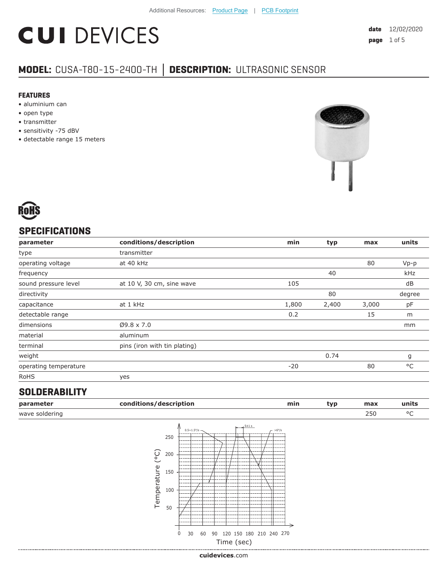# **CUI DEVICES**

### **MODEL:** CUSA-T80-15-2400-TH **│ DESCRIPTION:** ULTRASONIC SENSOR

#### **FEATURES**

- aluminium can
- open type
- transmitter
- sensitivity -75 dBV
- detectable range 15 meters





#### **SPECIFICATIONS**

| parameter             | conditions/description       | min   | typ   | max   | units  |
|-----------------------|------------------------------|-------|-------|-------|--------|
| type                  | transmitter                  |       |       |       |        |
| operating voltage     | at 40 kHz                    |       |       | 80    | $Vp-p$ |
| frequency             |                              |       | 40    |       | kHz    |
| sound pressure level  | at 10 V, 30 cm, sine wave    | 105   |       |       | dB     |
| directivity           |                              |       | 80    |       | degree |
| capacitance           | at 1 kHz                     | 1,800 | 2,400 | 3,000 | pF     |
| detectable range      |                              | 0.2   |       | 15    | m      |
| dimensions            | $Ø9.8 \times 7.0$            |       |       |       | mm     |
| material              | aluminum                     |       |       |       |        |
| terminal              | pins (iron with tin plating) |       |       |       |        |
| weight                |                              |       | 0.74  |       | g      |
| operating temperature |                              | $-20$ |       | 80    | °C     |
| <b>RoHS</b>           | yes                          |       |       |       |        |

#### **SOLDERABILITY**

| parameter      | conditions/description |                                                                                         |                                          |            |           | min | typ | max | units        |
|----------------|------------------------|-----------------------------------------------------------------------------------------|------------------------------------------|------------|-----------|-----|-----|-----|--------------|
| wave soldering |                        |                                                                                         |                                          |            |           |     |     | 250 | $^{\circ}$ C |
|                | (°C)<br>Temperature    | $0.5 \sim 1.5^{\circ}/s$ -<br>250<br>200<br>150<br>100<br>50<br>30<br>$\mathbf 0$<br>60 | 90 120 150 180 210 240 270<br>Time (sec) | $15 + 1 s$ | $-$ >6°/s |     |     |     |              |

**cui[devices](https://www.cuidevices.com/track?actionLabel=Datasheet-ClickThrough-HomePage&label=CUSA-T80-15-2400-TH.pdf&path=/)**.com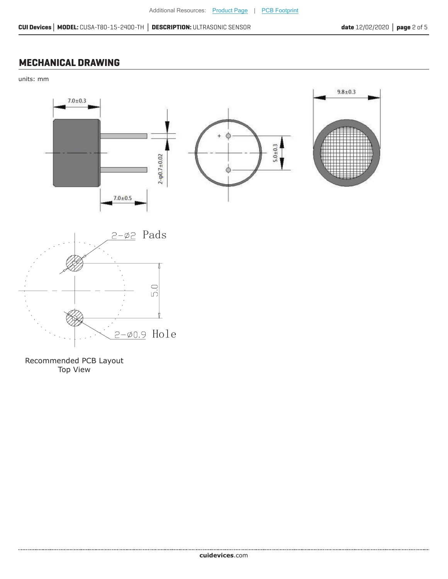#### **MECHANICAL DRAWING**

units: mm



Recommended PCB Layout Top View

.....................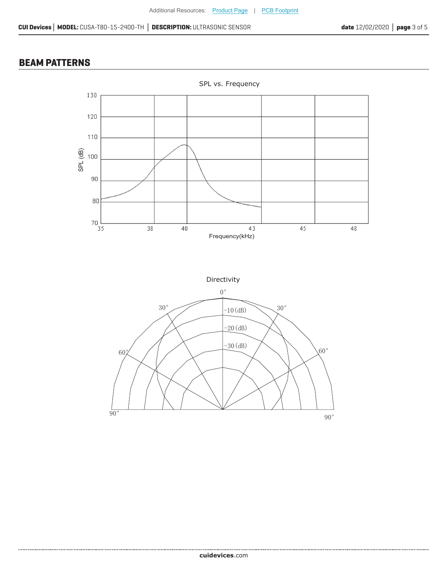#### **BEAM PATTERNS**

.....................



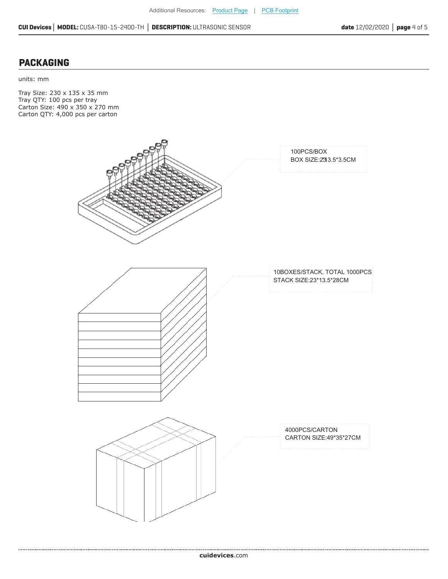#### **PACKAGING**

......................................

units: mm

Tray Size: 230 x 135 x 35 mm Tray QTY: 100 pcs per tray Carton Size: 490 x 350 x 270 mm Carton QTY: 4,000 pcs per carton